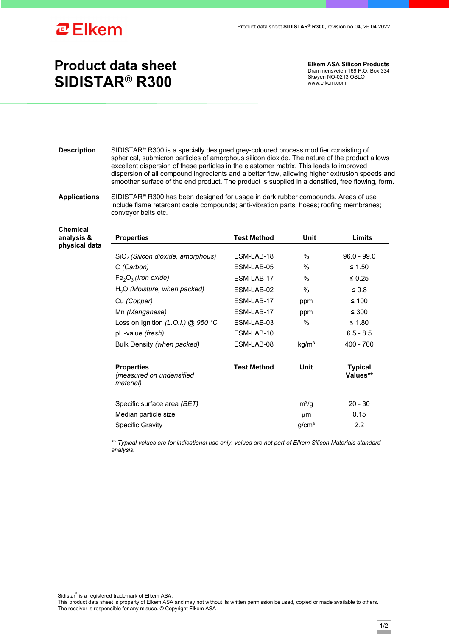

## **Product data sheet SIDISTAR® R300**

**Elkem ASA Silicon Products**  Drammensveien 169 P.O. Box 334 Skøyen NO-0213 OSLO www.elkem.com

**Description** SIDISTAR® R300 is a specially designed grey-coloured process modifier consisting of spherical, submicron particles of amorphous silicon dioxide. The nature of the product allows excellent dispersion of these particles in the elastomer matrix. This leads to improved dispersion of all compound ingredients and a better flow, allowing higher extrusion speeds and smoother surface of the end product. The product is supplied in a densified, free flowing, form.

**Applications** SIDISTAR® R300 has been designed for usage in dark rubber compounds. Areas of use include flame retardant cable compounds; anti-vibration parts; hoses; roofing membranes; conveyor belts etc.

| <b>Chemical</b><br>analysis & | <b>Properties</b>                                          | <b>Test Method</b> | Unit              | Limits                     |
|-------------------------------|------------------------------------------------------------|--------------------|-------------------|----------------------------|
| physical data                 | SiO <sub>2</sub> (Silicon dioxide, amorphous)              | ESM-LAB-18         | %                 | $96.0 - 99.0$              |
|                               | C (Carbon)                                                 | ESM-LAB-05         | $\frac{0}{0}$     | ≤ 1.50                     |
|                               | $Fe2O3$ (Iron oxide)                                       | ESM-LAB-17         | $\%$              | $\leq 0.25$                |
|                               | $H2O$ (Moisture, when packed)                              | ESM-LAB-02         | $\%$              | $\leq 0.8$                 |
|                               | Cu (Copper)                                                | ESM-LAB-17         | ppm               | ≤ 100                      |
|                               | Mn (Manganese)                                             | ESM-LAB-17         | ppm               | $\leq 300$                 |
|                               | Loss on Ignition (L.O.I.) @ 950 °C                         | ESM-LAB-03         | $\%$              | ≤ 1.80                     |
|                               | pH-value (fresh)                                           | ESM-LAB-10         |                   | $6.5 - 8.5$                |
|                               | Bulk Density (when packed)                                 | ESM-LAB-08         | kg/m <sup>3</sup> | $400 - 700$                |
|                               | <b>Properties</b><br>(measured on undensified<br>material) | <b>Test Method</b> | Unit              | <b>Typical</b><br>Values** |
|                               | Specific surface area (BET)                                |                    | $m^2/q$           | $20 - 30$                  |
|                               | Median particle size                                       |                    | $\mu$ m           | 0.15                       |
|                               | <b>Specific Gravity</b>                                    |                    | g/cm <sup>3</sup> | 2.2                        |

*\*\* Typical values are for indicational use only, values are not part of Elkem Silicon Materials standard analysis.* 

Sidistar® is a registered trademark of Elkem ASA.

This product data sheet is property of Elkem ASA and may not without its written permission be used, copied or made available to others. The receiver is responsible for any misuse. © Copyright Elkem ASA